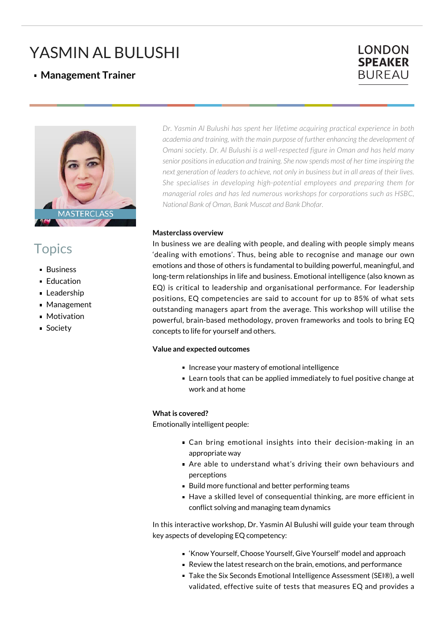# YASMIN AL BULUSHI

### **Management Trainer**





## **Topics**

- Business
- **Education**
- **Leadership**
- **Management**
- **Motivation**
- **Society**

*Dr. Yasmin Al Bulushi has spent her lifetime acquiring practical experience in both academia and training, with the main purpose of further enhancing the development of Omani society. Dr. Al Bulushi is a well-respected figure in Oman and has held many senior positions in education and training. She now spends most of her time inspiring the next generation of leaders to achieve, not only in business but in all areas of their lives. She specialises in developing high-potential employees and preparing them for managerial roles and has led numerous workshops for corporations such as HSBC, National Bank of Oman, Bank Muscat and Bank Dhofar.*

#### **Masterclass overview**

In business we are dealing with people, and dealing with people simply means 'dealing with emotions'. Thus, being able to recognise and manage our own emotions and those of others is fundamental to building powerful, meaningful, and long-term relationships in life and business. Emotional intelligence (also known as EQ) is critical to leadership and organisational performance. For leadership positions, EQ competencies are said to account for up to 85% of what sets outstanding managers apart from the average. This workshop will utilise the powerful, brain-based methodology, proven frameworks and tools to bring EQ concepts to life for yourself and others.

#### **Value and expected outcomes**

- **Increase your mastery of emotional intelligence**
- **EXEC** Learn tools that can be applied immediately to fuel positive change at work and at home

#### **What is covered?**

Emotionally intelligent people:

- Can bring emotional insights into their decision-making in an appropriate way
- Are able to understand what's driving their own behaviours and perceptions
- Build more functional and better performing teams
- Have a skilled level of consequential thinking, are more efficient in conflict solving and managing team dynamics

In this interactive workshop, Dr. Yasmin Al Bulushi will guide your team through key aspects of developing EQ competency:

- 'Know Yourself, Choose Yourself, Give Yourself' model and approach
- Review the latest research on the brain, emotions, and performance
- Take the Six Seconds Emotional Intelligence Assessment (SEI®), a well validated, effective suite of tests that measures EQ and provides a